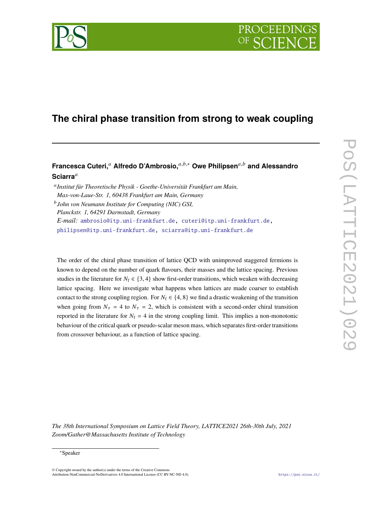

# **The chiral phase transition from strong to weak coupling**

# **Francesca Cuteri,<sup>a</sup> Alfredo D'Ambrosio,**<sup> $a,b,*$ </sup> Owe Philipsen<sup> $a,b$ </sup> and Alessandro **Sciarra**

 *Institut für Theoretische Physik - Goethe-Universität Frankfurt am Main, Max-von-Laue-Str. 1, 60438 Frankfurt am Main, Germany John von Neumann Institute for Computing (NIC) GSI, Planckstr. 1, 64291 Darmstadt, Germany E-mail:* [ambrosio@itp.uni-frankfurt.de,](mailto:ambrosio@itp.uni-frankfurt.de) [cuteri@itp.uni-frankfurt.de,](mailto:cuteri@itp.uni-frankfurt.de) [philipsen@itp.uni-frankfurt.de,](mailto:philipsen@itp.uni-frankfurt.de) [sciarra@itp.uni-frankfurt.de](mailto:sciarra@itp.uni-frankfurt.de)

The order of the chiral phase transition of lattice QCD with unimproved staggered fermions is known to depend on the number of quark flavours, their masses and the lattice spacing. Previous studies in the literature for  $N_f \in \{3, 4\}$  show first-order transitions, which weaken with decreasing lattice spacing. Here we investigate what happens when lattices are made coarser to establish contact to the strong coupling region. For  $N_f \in \{4, 8\}$  we find a drastic weakening of the transition when going from  $N_{\tau} = 4$  to  $N_{\tau} = 2$ , which is consistent with a second-order chiral transition reported in the literature for  $N_f = 4$  in the strong coupling limit. This implies a non-monotonic behaviour of the critical quark or pseudo-scalar meson mass, which separates first-order transitions from crossover behaviour, as a function of lattice spacing.

*The 38th International Symposium on Lattice Field Theory, LATTICE2021 26th-30th July, 2021 Zoom/Gather@Massachusetts Institute of Technology*

#### <sup>∗</sup>Speaker

© Copyright owned by the author(s) under the terms of the Creative Commons Attribution-NonCommercial-NoDerivatives 4.0 International License (CC BY-NC-ND 4.0). <https://pos.sissa.it/>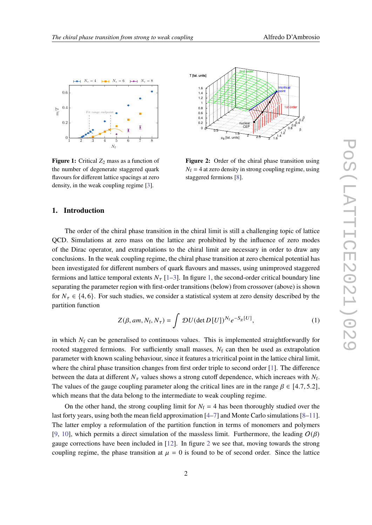<span id="page-1-0"></span>

**Figure 1:** Critical  $Z_2$  mass as a function of the number of degenerate staggered quark flavours for different lattice spacings at zero density, in the weak coupling regime [\[3\]](#page-6-0).



**Figure 2:** Order of the chiral phase transition using  $N_f = 4$  at zero density in strong coupling regime, using staggered fermions [\[8\]](#page-6-1).

# **1. Introduction**

The order of the chiral phase transition in the chiral limit is still a challenging topic of lattice QCD. Simulations at zero mass on the lattice are prohibited by the influence of zero modes of the Dirac operator, and extrapolations to the chiral limit are necessary in order to draw any conclusions. In the weak coupling regime, the chiral phase transition at zero chemical potential has been investigated for different numbers of quark flavours and masses, using unimproved staggered fermions and lattice temporal extents  $N_{\tau}$  [\[1–](#page-6-2)[3\]](#page-6-0). In figure [1,](#page-1-0) the second-order critical boundary line separating the parameter region with first-order transitions (below) from crossover (above) is shown for  $N_{\tau} \in \{4, 6\}$ . For such studies, we consider a statistical system at zero density described by the partition function

$$
Z(\beta, am, N_{\rm f}, N_{\tau}) = \int \mathcal{D}U(\det D[U])^{N_{\rm f}} e^{-S_{\rm g}[U]}, \qquad (1)
$$

in which  $N_f$  can be generalised to continuous values. This is implemented straightforwardly for rooted staggered fermions. For sufficiently small masses,  $N_f$  can then be used as extrapolation parameter with known scaling behaviour, since it features a tricritical point in the lattice chiral limit, where the chiral phase transition changes from first order triple to second order [\[1\]](#page-6-2). The difference between the data at different  $N_{\tau}$  values shows a strong cutoff dependence, which increaes with  $N_{\text{f}}$ . The values of the gauge coupling parameter along the critical lines are in the range  $\beta \in [4.7, 5.2]$ . which means that the data belong to the intermediate to weak coupling regime.

On the other hand, the strong coupling limit for  $N_f = 4$  has been thoroughly studied over the last forty years, using both the mean field approximation  $[4-7]$  $[4-7]$  and Monte Carlo simulations  $[8-11]$  $[8-11]$ . The latter employ a reformulation of the partition function in terms of monomers and polymers [\[9,](#page-6-5) [10\]](#page-6-6), which permits a direct simulation of the massless limit. Furthermore, the leading  $O(\beta)$ gauge corrections have been included in [\[12\]](#page-7-1). In figure [2](#page-1-0) we see that, moving towards the strong coupling regime, the phase transition at  $\mu = 0$  is found to be of second order. Since the lattice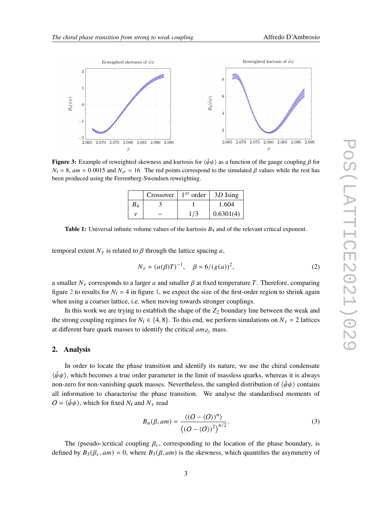<span id="page-2-1"></span>

<span id="page-2-0"></span>**Figure 3:** Example of reweighted skewness and kurtosis for  $\langle \bar{\psi}\psi \rangle$  as a function of the gauge coupling  $\beta$  for  $N_f = 8$ , am = 0.0015 and  $N_{\sigma} = 16$ . The red points correspond to the simulated  $\beta$  values while the rest has been produced using the Ferrenberg-Swendsen reweighting.

|            | Crossover | $1^{st}$ order | 3D Ising  |
|------------|-----------|----------------|-----------|
| $\it{B}_4$ |           |                | 1.604     |
|            |           |                | 0.6301(4) |

**Table 1:** Universal infinite volume values of the kurtosis  $B_4$  and of the relevant critical exponent.

temporal extent  $N_{\tau}$  is related to  $\beta$  through the lattice spacing a,

$$
N_{\tau} = (a(\beta)T)^{-1}, \quad \beta = 6/(g(a))^2,
$$
 (2)

a smaller  $N_{\tau}$  corresponds to a larger a and smaller  $\beta$  at fixed temperature T. Therefore, comparing figure [2](#page-1-0) to results for  $N_f = 4$  in figure [1,](#page-1-0) we expect the size of the first-order region to shrink again when using a coarser lattice, i.e. when moving towards stronger couplings.

In this work we are trying to establish the shape of the  $Z_2$  boundary line between the weak and the strong coupling regimes for  $N_f \in \{4, 8\}$ . To this end, we perform simulations on  $N_{\tau} = 2$  lattices at different bare quark masses to identify the critical  $am_{Z_2}$  mass.

#### **2. Analysis**

In order to locate the phase transition and identify its nature, we use the chiral condensate  $\langle \bar{\psi}\psi \rangle$ , which becomes a true order parameter in the limit of massless quarks, whereas it is always non-zero for non-vanishing quark masses. Nevertheless, the sampled distribution of  $\langle \bar{\psi} \psi \rangle$  contains all information to characterise the phase transition. We analyse the standardised moments of  $O = \langle \bar{\psi}\psi \rangle$ , which for fixed  $N_f$  and  $N_\tau$  read

$$
B_n(\beta, am) = \frac{\langle (O - \langle O \rangle)^n \rangle}{\langle (O - \langle O \rangle)^2 \rangle^{n/2}}.
$$
 (3)

The (pseudo-)critical coupling  $\beta_c$ , corresponding to the location of the phase boundary, is defined by  $B_3(\beta_c, am) = 0$ , where  $B_3(\beta, am)$  is the skewness, which quantifies the asymmetry of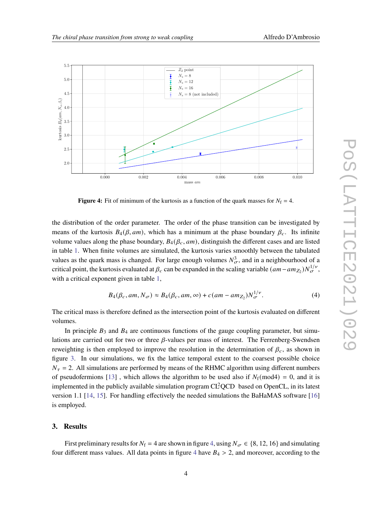<span id="page-3-0"></span>

**Figure 4:** Fit of minimum of the kurtosis as a function of the quark masses for  $N_f = 4$ .

the distribution of the order parameter. The order of the phase transition can be investigated by means of the kurtosis  $B_4(\beta, am)$ , which has a minimum at the phase boundary  $\beta_c$ . Its infinite volume values along the phase boundary,  $B_4(\beta_c, am)$ , distinguish the different cases and are listed in table [1.](#page-2-0) When finite volumes are simulated, the kurtosis varies smoothly between the tabulated values as the quark mass is changed. For large enough volumes  $N_{\sigma}^3$ , and in a neighbourhood of a critical point, the kurtosis evaluated at  $\beta_c$  can be expanded in the scaling variable  $(am-am_{Z_2})N_{\sigma}^{1/\nu}$ , with a critical exponent given in table [1,](#page-2-0)

<span id="page-3-1"></span>
$$
B_4(\beta_c, am, N_{\sigma}) \approx B_4(\beta_c, am, \infty) + c(am - am_{Z_2})N_{\sigma}^{1/\nu}.
$$
 (4)

The critical mass is therefore defined as the intersection point of the kurtosis evaluated on different volumes.

In principle  $B_3$  and  $B_4$  are continuous functions of the gauge coupling parameter, but simulations are carried out for two or three  $\beta$ -values per mass of interest. The Ferrenberg-Swendsen reweighting is then employed to improve the resolution in the determination of  $\beta_c$ , as shown in figure [3.](#page-2-1) In our simulations, we fix the lattice temporal extent to the coarsest possible choice  $N_{\tau}$  = 2. All simulations are performed by means of the RHMC algorithm using different numbers of pseudofermions [\[13\]](#page-7-2), which allows the algorithm to be used also if  $N_f(\text{mod}4) = 0$ , and it is implemented in the publicly available simulation program  $CI<sup>2</sup>QCD$  based on OpenCL, in its latest version 1.1 [\[14,](#page-7-3) [15\]](#page-7-4). For handling effectively the needed simulations the BaHaMAS software [\[16\]](#page-7-5) is employed.

#### **3. Results**

First preliminary results for  $N_f = 4$  are shown in figure [4,](#page-3-0) using  $N_\sigma \in \{8, 12, 16\}$  and simulating four different mass values. All data points in figure [4](#page-3-0) have  $B_4 > 2$ , and moreover, according to the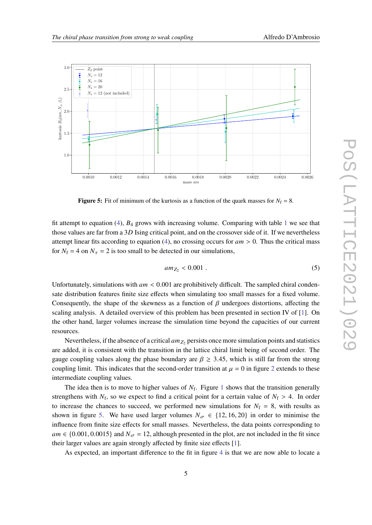<span id="page-4-0"></span>

**Figure 5:** Fit of minimum of the kurtosis as a function of the quark masses for  $N_f = 8$ .

fit attempt to equation [\(4\)](#page-3-1),  $B_4$  grows with increasing volume. Comparing with table [1](#page-2-0) we see that those values are far from a 3D Ising critical point, and on the crossover side of it. If we nevertheless attempt linear fits according to equation [\(4\)](#page-3-1), no crossing occurs for  $am > 0$ . Thus the critical mass for  $N_f = 4$  on  $N_\tau = 2$  is too small to be detected in our simulations,

$$
am_{Z_2} < 0.001 \tag{5}
$$

Unfortunately, simulations with  $am < 0.001$  are prohibitively difficult. The sampled chiral condensate distribution features finite size effects when simulating too small masses for a fixed volume. Consequently, the shape of the skewness as a function of  $\beta$  undergoes distortions, affecting the scaling analysis. A detailed overview of this problem has been presented in section IV of [\[1\]](#page-6-2). On the other hand, larger volumes increase the simulation time beyond the capacities of our current resources.

Nevertheless, if the absence of a critical  $am_{Z_2}$  persists once more simulation points and statistics are added, it is consistent with the transition in the lattice chiral limit being of second order. The gauge coupling values along the phase boundary are  $\beta \geq 3.45$ , which is still far from the strong coupling limit. This indicates that the second-order transition at  $\mu = 0$  in figure [2](#page-1-0) extends to these intermediate coupling values.

The idea then is to move to higher values of  $N_f$ . Figure [1](#page-1-0) shows that the transition generally strengthens with  $N_f$ , so we expect to find a critical point for a certain value of  $N_f > 4$ . In order to increase the chances to succeed, we performed new simulations for  $N_f = 8$ , with results as shown in figure [5.](#page-4-0) We have used larger volumes  $N_{\sigma} \in \{12, 16, 20\}$  in order to minimise the influence from finite size effects for small masses. Nevertheless, the data points corresponding to  $am \in \{0.001, 0.0015\}$  and  $N_{\sigma} = 12$ , although presented in the plot, are not included in the fit since their larger values are again strongly affected by finite size effects [\[1\]](#page-6-2).

As expected, an important difference to the fit in figure [4](#page-3-0) is that we are now able to locate a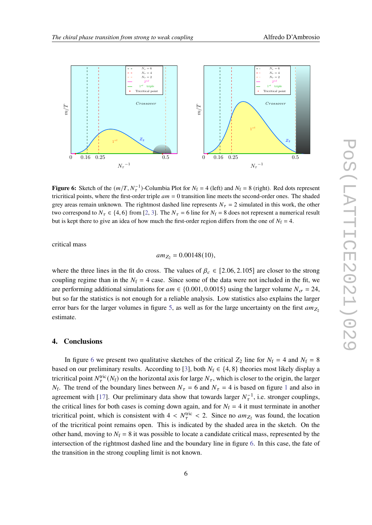<span id="page-5-0"></span>

**Figure 6:** Sketch of the  $(m/T, N<sub>\tau</sub><sup>-1</sup>)$ -Columbia Plot for  $N<sub>f</sub> = 4$  (left) and  $N<sub>f</sub> = 8$  (right). Red dots represent tricritical points, where the first-order triple  $am = 0$  transition line meets the second-order ones. The shaded grey areas remain unknown. The rightmost dashed line represents  $N<sub>\tau</sub> = 2$  simulated in this work, the other two correspond to  $N_{\tau} \in \{4, 6\}$  from [\[2,](#page-6-7) [3\]](#page-6-0). The  $N_{\tau} = 6$  line for  $N_{\rm f} = 8$  does not represent a numerical result but is kept there to give an idea of how much the first-order region differs from the one of  $N_f = 4$ .

critical mass

$$
am_{Z_2}=0.00148(10),
$$

where the three lines in the fit do cross. The values of  $\beta_c \in [2.06, 2.105]$  are closer to the strong coupling regime than in the  $N_f = 4$  case. Since some of the data were not included in the fit, we are performing additional simulations for  $am \in \{0.001, 0.0015\}$  using the larger volume  $N_{\sigma} = 24$ , but so far the statistics is not enough for a reliable analysis. Low statistics also explains the larger error bars for the larger volumes in figure [5,](#page-4-0) as well as for the large uncertainty on the first  $am_{Z_2}$ estimate.

#### **4. Conclusions**

In figure [6](#page-5-0) we present two qualitative sketches of the critical  $Z_2$  line for  $N_f = 4$  and  $N_f = 8$ based on our preliminary results. According to [\[3\]](#page-6-0), both  $N_f \in \{4, 8\}$  theories most likely display a tricritical point  $N_{\tau}^{\text{tric}}(N_f)$  on the horizontal axis for large  $N_{\tau}$ , which is closer to the origin, the larger  $N_f$ . The trend of the boundary lines between  $N_{\tau} = 6$  and  $N_{\tau} = 4$  is based on figure [1](#page-1-0) and also in agreement with [\[17\]](#page-7-6). Our preliminary data show that towards larger  $N_{\tau}^{-1}$ , i.e. stronger couplings, the critical lines for both cases is coming down again, and for  $N_f = 4$  it must terminate in another tricritical point, which is consistent with  $4 < N_{\tau}^{\text{tric}} < 2$ . Since no  $am_{Z_2}$  was found, the location of the tricritical point remains open. This is indicated by the shaded area in the sketch. On the other hand, moving to  $N_f = 8$  it was possible to locate a candidate critical mass, represented by the intersection of the rightmost dashed line and the boundary line in figure [6.](#page-5-0) In this case, the fate of the transition in the strong coupling limit is not known.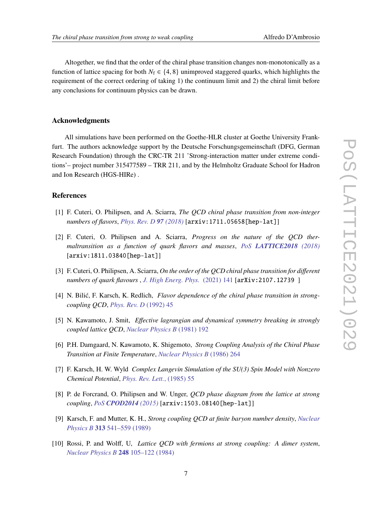Altogether, we find that the order of the chiral phase transition changes non-monotonically as a function of lattice spacing for both  $N_f \in \{4, 8\}$  unimproved staggered quarks, which highlights the requirement of the correct ordering of taking 1) the continuum limit and 2) the chiral limit before any conclusions for continuum physics can be drawn.

# **Acknowledgments**

All simulations have been performed on the Goethe-HLR cluster at Goethe University Frankfurt. The authors acknowledge support by the Deutsche Forschungsgemeinschaft (DFG, German Research Foundation) through the CRC-TR 211 'Strong-interaction matter under extreme conditions'– project number 315477589 – TRR 211, and by the Helmholtz Graduate School for Hadron and Ion Research (HGS-HIRe) .

### **References**

- <span id="page-6-2"></span>[1] F. Cuteri, O. Philipsen, and A. Sciarra, *The QCD chiral phase transition from non-integer numbers of flavors*, *[Phys. Rev. D](https://doi.org/10.1103/PhysRevD.97.114511) 97 (2018)* [arxiv:1711.05658[hep-lat]]
- <span id="page-6-7"></span>[2] F. Cuteri, O. Philipsen and A. Sciarra, *Progress on the nature of the QCD thermaltransition as a function of quark flavors and masses*, *PoS [LATTICE2018](https://doi.org/10.22323/1.334.0170) (2018)* [arxiv:1811.03840[hep-lat]]
- <span id="page-6-0"></span>[3] F. Cuteri, O. Philipsen, A. Sciarra, *On the order of the QCD chiral phase transition for different numbers of quark flavours* , *[J. High Energ. Phys.](https://doi.org/10.1007/JHEP11(2021)141)* (2021) 141 [arXiv:2107.12739 ]
- <span id="page-6-3"></span>[4] N. Bilić, F. Karsch, K. Redlich, *Flavor dependence of the chiral phase transition in strongcoupling QCD*, *[Phys. Rev. D](https://doi.org/10.1103/PhysRevD.45.3228)* (1992) 45
- [5] N. Kawamoto, J. Smit, *Effective lagrangian and dynamical symmetry breaking in strongly coupled lattice QCD*, *[Nuclear Physics B](https://doi.org/10.1016/0550-3213(81)90196-6)* (1981) 192
- [6] P.H. Damgaard, N. Kawamoto, K. Shigemoto, *Strong Coupling Analysis of the Chiral Phase Transition at Finite Temperature*, *[Nuclear Physics B](https://doi.org/10.1016/0550-3213(86)90470-0)* (1986) 264
- <span id="page-6-4"></span>[7] F. Karsch, H. W. Wyld *Complex Langevin Simulation of the SU(3) Spin Model with Nonzero Chemical Potential*, *[Phys. Rev. Lett.](https://doi.org/10.1103/PhysRevLett.55.2242)*, (1985) 55
- <span id="page-6-1"></span>[8] P. de Forcrand, O. Philipsen and W. Unger, *QCD phase diagram from the lattice at strong coupling*, *PoS [CPOD2014](https://doi.org/10.22323/1.217.0073) (2015)* [arxiv:1503.08140[hep-lat]]
- <span id="page-6-5"></span>[9] Karsch, F. and Mutter, K. H., *Strong coupling QCD at finite baryon number density*, *[Nuclear](https://doi.org/10.1016/0550-3213(89)90396-9) Physics B* **313** [541–559 \(1989\)](https://doi.org/10.1016/0550-3213(89)90396-9)
- <span id="page-6-6"></span>[10] Rossi, P. and Wolff, U, *Lattice QCD with fermions at strong coupling: A dimer system*, *[Nuclear Physics B](https://doi.org/10.1016/0550-3213(84)90589-3)* **248** 105–122 (1984)